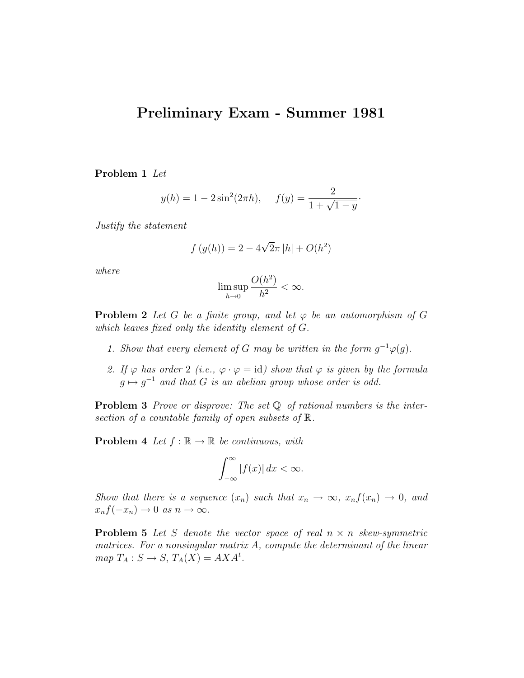## Preliminary Exam - Summer 1981

Problem 1 Let

$$
y(h) = 1 - 2\sin^2(2\pi h), \quad f(y) = \frac{2}{1 + \sqrt{1 - y}}.
$$

Justify the statement

$$
f(y(h)) = 2 - 4\sqrt{2}\pi |h| + O(h^2)
$$

where

$$
\limsup_{h \to 0} \frac{O(h^2)}{h^2} < \infty.
$$

**Problem 2** Let G be a finite group, and let  $\varphi$  be an automorphism of G which leaves fixed only the identity element of G.

- 1. Show that every element of G may be written in the form  $g^{-1}\varphi(g)$ .
- 2. If  $\varphi$  has order 2 (i.e.,  $\varphi \cdot \varphi = id$ ) show that  $\varphi$  is given by the formula  $g \mapsto g^{-1}$  and that G is an abelian group whose order is odd.

**Problem 3** Prove or disprove: The set  $\mathbb Q$  of rational numbers is the intersection of a countable family of open subsets of R.

**Problem 4** Let  $f : \mathbb{R} \to \mathbb{R}$  be continuous, with

$$
\int_{-\infty}^{\infty} |f(x)| dx < \infty.
$$

Show that there is a sequence  $(x_n)$  such that  $x_n \to \infty$ ,  $x_n f(x_n) \to 0$ , and  $x_n f(-x_n) \to 0 \text{ as } n \to \infty.$ 

**Problem 5** Let S denote the vector space of real  $n \times n$  skew-symmetric matrices. For a nonsingular matrix A, compute the determinant of the linear  $map T_A : S \to S, T_A(X) = AXA<sup>t</sup>.$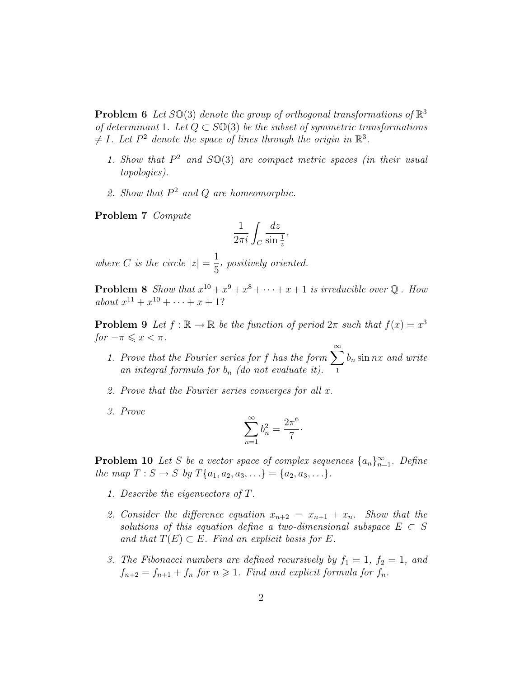**Problem 6** Let  $SO(3)$  denote the group of orthogonal transformations of  $\mathbb{R}^3$ of determinant 1. Let  $Q \subset S\mathbb{O}(3)$  be the subset of symmetric transformations  $\neq I$ . Let  $P^2$  denote the space of lines through the origin in  $\mathbb{R}^3$ .

- 1. Show that  $P^2$  and  $SO(3)$  are compact metric spaces (in their usual topologies).
- 2. Show that  $P^2$  and  $Q$  are homeomorphic.

Problem 7 Compute

$$
\frac{1}{2\pi i} \int_C \frac{dz}{\sin\frac{1}{z}},
$$

where C is the circle  $|z| = \frac{1}{z}$ 5 , positively oriented.

**Problem 8** Show that  $x^{10} + x^9 + x^8 + \cdots + x + 1$  is irreducible over Q. How about  $x^{11} + x^{10} + \cdots + x + 1$ ?

**Problem 9** Let  $f : \mathbb{R} \to \mathbb{R}$  be the function of period  $2\pi$  such that  $f(x) = x^3$  $for -\pi \leqslant x < \pi$ .

- 1. Prove that the Fourier series for f has the form  $\sum_{n=0}^{\infty}$ 1  $b_n$  sin nx and write an integral formula for  $b_n$  (do not evaluate it).
- 2. Prove that the Fourier series converges for all x.
- 3. Prove

$$
\sum_{n=1}^{\infty} b_n^2 = \frac{2\pi^6}{7} \cdot
$$

**Problem 10** Let S be a vector space of complex sequences  $\{a_n\}_{n=1}^{\infty}$ . Define the map  $T : S \to S$  by  $T\{a_1, a_2, a_3, \ldots\} = \{a_2, a_3, \ldots\}.$ 

- 1. Describe the eigenvectors of T.
- 2. Consider the difference equation  $x_{n+2} = x_{n+1} + x_n$ . Show that the solutions of this equation define a two-dimensional subspace  $E \subset S$ and that  $T(E) \subset E$ . Find an explicit basis for E.
- 3. The Fibonacci numbers are defined recursively by  $f_1 = 1$ ,  $f_2 = 1$ , and  $f_{n+2} = f_{n+1} + f_n$  for  $n \ge 1$ . Find and explicit formula for  $f_n$ .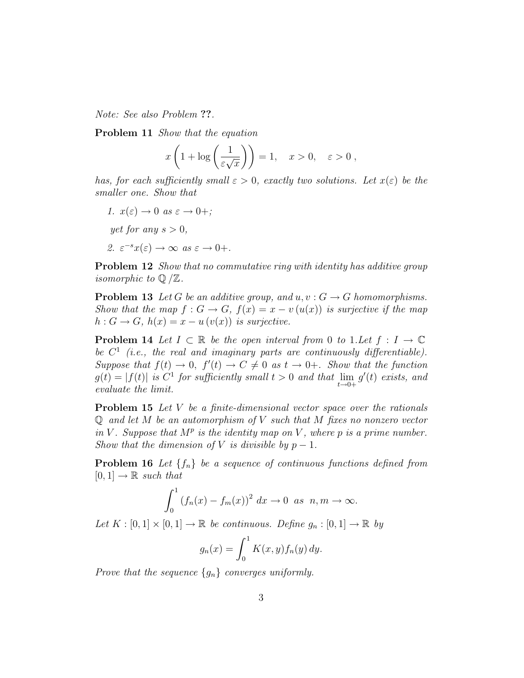Note: See also Problem ??.

Problem 11 Show that the equation

$$
x\left(1+\log\left(\frac{1}{\varepsilon\sqrt{x}}\right)\right) = 1, \quad x > 0, \quad \varepsilon > 0,
$$

has, for each sufficiently small  $\varepsilon > 0$ , exactly two solutions. Let  $x(\varepsilon)$  be the smaller one. Show that

- 1.  $x(\varepsilon) \to 0$  as  $\varepsilon \to 0+$ ;
- yet for any  $s > 0$ ,
- 2.  $\varepsilon^{-s}x(\varepsilon) \to \infty$  as  $\varepsilon \to 0+$ .

**Problem 12** Show that no commutative ring with identity has additive group *isomorphic to*  $\mathbb{Q}/\mathbb{Z}$ .

**Problem 13** Let G be an additive group, and  $u, v : G \to G$  homomorphisms. Show that the map  $f: G \to G$ ,  $f(x) = x - v(u(x))$  is surjective if the map  $h: G \to G$ ,  $h(x) = x - u(v(x))$  is surjective.

**Problem 14** Let  $I \subset \mathbb{R}$  be the open interval from 0 to 1. Let  $f : I \to \mathbb{C}$ be  $C^1$  (i.e., the real and imaginary parts are continuously differentiable). Suppose that  $f(t) \to 0$ ,  $f'(t) \to C \neq 0$  as  $t \to 0^+$ . Show that the function  $g(t) = |f(t)|$  is  $C^1$  for sufficiently small  $t > 0$  and that  $\lim_{t \to 0+} g'(t)$  exists, and evaluate the limit.

**Problem 15** Let V be a finite-dimensional vector space over the rationals  $\mathbb Q$  and let M be an automorphism of V such that M fixes no nonzero vector in V. Suppose that  $M^p$  is the identity map on V, where p is a prime number. Show that the dimension of V is divisible by  $p-1$ .

**Problem 16** Let  $\{f_n\}$  be a sequence of continuous functions defined from  $[0, 1] \rightarrow \mathbb{R}$  such that

$$
\int_0^1 (f_n(x) - f_m(x))^2 dx \to 0 \text{ as } n, m \to \infty.
$$

Let  $K : [0,1] \times [0,1] \to \mathbb{R}$  be continuous. Define  $g_n : [0,1] \to \mathbb{R}$  by

$$
g_n(x) = \int_0^1 K(x, y) f_n(y) dy.
$$

Prove that the sequence  $\{g_n\}$  converges uniformly.